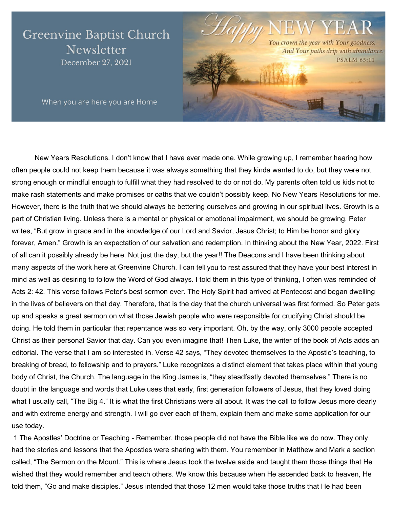# **Greenvine Baptist Church** Newsletter December 27, 2021



When you are here you are Home

New Years Resolutions. I don't know that I have ever made one. While growing up, I remember hearing how often people could not keep them because it was always something that they kinda wanted to do, but they were not strong enough or mindful enough to fulfill what they had resolved to do or not do. My parents often told us kids not to make rash statements and make promises or oaths that we couldn't possibly keep. No New Years Resolutions for me. However, there is the truth that we should always be bettering ourselves and growing in our spiritual lives. Growth is a part of Christian living. Unless there is a mental or physical or emotional impairment, we should be growing. Peter writes, "But grow in grace and in the knowledge of our Lord and Savior, Jesus Christ; to Him be honor and glory forever, Amen." Growth is an expectation of our salvation and redemption. In thinking about the New Year, 2022. First of all can it possibly already be here. Not just the day, but the year!! The Deacons and I have been thinking about many aspects of the work here at Greenvine Church. I can tell you to rest assured that they have your best interest in mind as well as desiring to follow the Word of God always. I told them in this type of thinking, I often was reminded of Acts 2: 42. This verse follows Peter's best sermon ever. The Holy Spirit had arrived at Pentecost and began dwelling in the lives of believers on that day. Therefore, that is the day that the church universal was first formed. So Peter gets up and speaks a great sermon on what those Jewish people who were responsible for crucifying Christ should be doing. He told them in particular that repentance was so very important. Oh, by the way, only 3000 people accepted Christ as their personal Savior that day. Can you even imagine that! Then Luke, the writer of the book of Acts adds an editorial. The verse that I am so interested in. Verse 42 says, "They devoted themselves to the Apostle's teaching, to breaking of bread, to fellowship and to prayers." Luke recognizes a distinct element that takes place within that young body of Christ, the Church. The language in the King James is, "they steadfastly devoted themselves." There is no doubt in the language and words that Luke uses that early, first generation followers of Jesus, that they loved doing what I usually call, "The Big 4." It is what the first Christians were all about. It was the call to follow Jesus more dearly and with extreme energy and strength. I will go over each of them, explain them and make some application for our use today.

1 The Apostles' Doctrine or Teaching - Remember, those people did not have the Bible like we do now. They only had the stories and lessons that the Apostles were sharing with them. You remember in Matthew and Mark a section called, "The Sermon on the Mount." This is where Jesus took the twelve aside and taught them those things that He wished that they would remember and teach others. We know this because when He ascended back to heaven, He told them, "Go and make disciples." Jesus intended that those 12 men would take those truths that He had been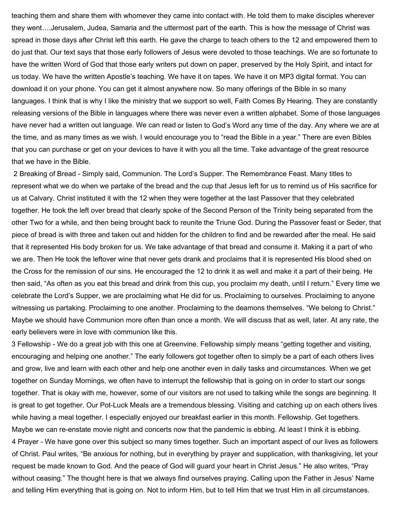teaching them and share them with whomever they came into contact with. He told them to make disciples wherever they went….Jerusalem, Judea, Samaria and the uttermost part of the earth. This is how the message of Christ was spread in those days after Christ left this earth. He gave the charge to teach others to the 12 and empowered them to do just that. Our text says that those early followers of Jesus were devoted to those teachings. We are so fortunate to have the written Word of God that those early writers put down on paper, preserved by the Holy Spirit, and intact for us today. We have the written Apostle's teaching. We have it on tapes. We have it on MP3 digital format. You can download it on your phone. You can get it almost anywhere now. So many offerings of the Bible in so many languages. I think that is why I like the ministry that we support so well, Faith Comes By Hearing. They are constantly releasing versions of the Bible in languages where there was never even a written alphabet. Some of those languages have never had a written out language. We can read or listen to God's Word any time of the day. Any where we are at the time, and as many times as we wish. I would encourage you to "read the Bible in a year." There are even Bibles that you can purchase or get on your devices to have it with you all the time. Take advantage of the great resource that we have in the Bible.

2 Breaking of Bread - Simply said, Communion. The Lord's Supper. The Remembrance Feast. Many titles to represent what we do when we partake of the bread and the cup that Jesus left for us to remind us of His sacrifice for us at Calvary. Christ instituted it with the 12 when they were together at the last Passover that they celebrated together. He took the left over bread that clearly spoke of the Second Person of the Trinity being separated from the other Two for a while, and then being brought back to reunite the Triune God. During the Passover feast or Seder, that piece of bread is with three and taken out and hidden for the children to find and be rewarded after the meal. He said that it represented His body broken for us. We take advantage of that bread and consume it. Making it a part of who we are. Then He took the leftover wine that never gets drank and proclaims that it is represented His blood shed on the Cross for the remission of our sins. He encouraged the 12 to drink it as well and make it a part of their being. He then said, "As often as you eat this bread and drink from this cup, you proclaim my death, until I return." Every time we celebrate the Lord's Supper, we are proclaiming what He did for us. Proclaiming to ourselves. Proclaiming to anyone witnessing us partaking. Proclaiming to one another. Proclaiming to the deamons themselves. "We belong to Christ." Maybe we should have Communion more often than once a month. We will discuss that as well, later. At any rate, the early believers were in love with communion like this.

3 Fellowship - We do a great job with this one at Greenvine. Fellowship simply means "getting together and visiting, encouraging and helping one another." The early followers got together often to simply be a part of each others lives and grow, live and learn with each other and help one another even in daily tasks and circumstances. When we get together on Sunday Mornings, we often have to interrupt the fellowship that is going on in order to start our songs together. That is okay with me, however, some of our visitors are not used to talking while the songs are beginning. It is great to get together. Our Pot-Luck Meals are a tremendous blessing. Visiting and catching up on each others lives while having a meal together. I especially enjoyed our breakfast earlier in this month. Fellowship. Get togethers. Maybe we can re-enstate movie night and concerts now that the pandemic is ebbing. At least I think it is ebbing. 4 Prayer - We have gone over this subject so many times together. Such an important aspect of our lives as followers of Christ. Paul writes, "Be anxious for nothing, but in everything by prayer and supplication, with thanksgiving, let your request be made known to God. And the peace of God will guard your heart in Christ Jesus." He also writes, "Pray without ceasing." The thought here is that we always find ourselves praying. Calling upon the Father in Jesus' Name and telling Him everything that is going on. Not to inform Him, but to tell Him that we trust Him in all circumstances.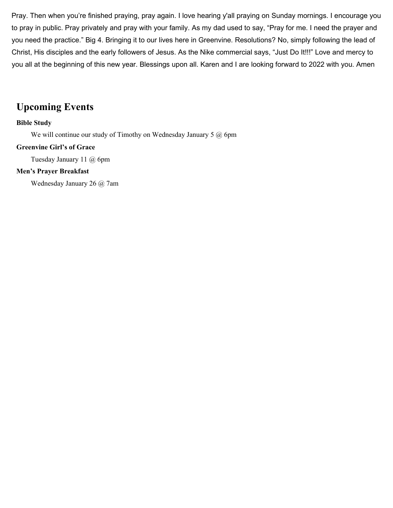Pray. Then when you're finished praying, pray again. I love hearing y'all praying on Sunday mornings. I encourage you to pray in public. Pray privately and pray with your family. As my dad used to say, "Pray for me. I need the prayer and you need the practice." Big 4. Bringing it to our lives here in Greenvine. Resolutions? No, simply following the lead of Christ, His disciples and the early followers of Jesus. As the Nike commercial says, "Just Do It!!!" Love and mercy to you all at the beginning of this new year. Blessings upon all. Karen and I are looking forward to 2022 with you. Amen

### **Upcoming Events**

#### **Bible Study**

We will continue our study of Timothy on Wednesday January 5 @ 6pm

#### **Greenvine Girl's of Grace**

Tuesday January 11 @ 6pm

#### **Men's Prayer Breakfast**

Wednesday January 26 @ 7am